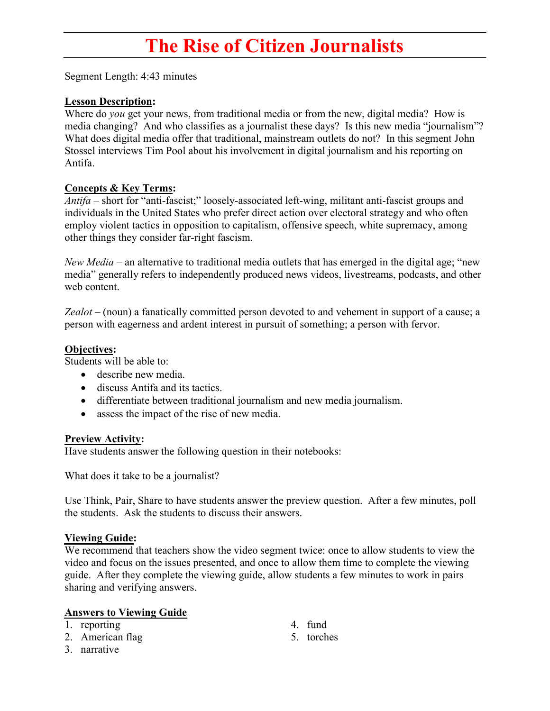# The Rise of Citizen Journalists

Segment Length: 4:43 minutes

### Lesson Description:

Where do *you* get your news, from traditional media or from the new, digital media? How is media changing? And who classifies as a journalist these days? Is this new media "journalism"? What does digital media offer that traditional, mainstream outlets do not? In this segment John Stossel interviews Tim Pool about his involvement in digital journalism and his reporting on Antifa.

#### Concepts & Key Terms:

Antifa – short for "anti-fascist;" loosely-associated left-wing, militant anti-fascist groups and individuals in the United States who prefer direct action over electoral strategy and who often employ violent tactics in opposition to capitalism, offensive speech, white supremacy, among other things they consider far-right fascism.

New Media – an alternative to traditional media outlets that has emerged in the digital age; "new" media" generally refers to independently produced news videos, livestreams, podcasts, and other web content.

Zealot – (noun) a fanatically committed person devoted to and vehement in support of a cause; a person with eagerness and ardent interest in pursuit of something; a person with fervor.

## Objectives:

Students will be able to:

- describe new media.
- discuss Antifa and its tactics.
- differentiate between traditional journalism and new media journalism.
- assess the impact of the rise of new media.

#### Preview Activity:

Have students answer the following question in their notebooks:

What does it take to be a journalist?

Use Think, Pair, Share to have students answer the preview question. After a few minutes, poll the students. Ask the students to discuss their answers.

#### Viewing Guide:

We recommend that teachers show the video segment twice: once to allow students to view the video and focus on the issues presented, and once to allow them time to complete the viewing guide. After they complete the viewing guide, allow students a few minutes to work in pairs sharing and verifying answers.

#### Answers to Viewing Guide

- 1. reporting
- 2. American flag
- 3. narrative
- 4. fund
- 5. torches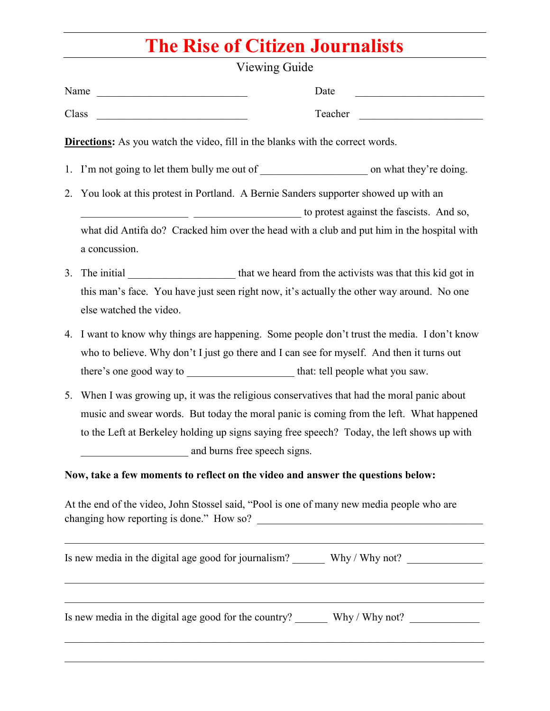# The Rise of Citizen Journalists

|                         | Viewing Guide                                                                         |                                                                                                                                                                                       |
|-------------------------|---------------------------------------------------------------------------------------|---------------------------------------------------------------------------------------------------------------------------------------------------------------------------------------|
| Name                    |                                                                                       | Date                                                                                                                                                                                  |
| Class                   | <u> 1989 - Johann Barbara, martxa a</u>                                               | Teacher                                                                                                                                                                               |
|                         | <b>Directions:</b> As you watch the video, fill in the blanks with the correct words. |                                                                                                                                                                                       |
|                         |                                                                                       |                                                                                                                                                                                       |
| 2.                      |                                                                                       | You look at this protest in Portland. A Bernie Sanders supporter showed up with an                                                                                                    |
|                         |                                                                                       | to protest against the fascists. And so,                                                                                                                                              |
| a concussion.           |                                                                                       | what did Antifa do? Cracked him over the head with a club and put him in the hospital with                                                                                            |
| 3.<br>The initial       |                                                                                       | that we heard from the activists was that this kid got in                                                                                                                             |
| else watched the video. |                                                                                       | this man's face. You have just seen right now, it's actually the other way around. No one                                                                                             |
| 4.                      |                                                                                       | I want to know why things are happening. Some people don't trust the media. I don't know<br>who to believe. Why don't I just go there and I can see for myself. And then it turns out |
| 5.                      |                                                                                       | When I was growing up, it was the religious conservatives that had the moral panic about<br>music and swear words. But today the moral panic is coming from the left. What happened   |

At the end of the video, John Stossel said, "Pool is one of many new media people who are changing how reporting is done." How so? \_\_\_\_\_\_\_\_\_\_\_\_\_\_\_\_\_\_\_\_\_\_\_\_\_\_\_\_\_\_\_\_\_\_\_\_\_\_\_\_\_\_

| Is new media in the digital age good for journalism?  | Why / Why not? |
|-------------------------------------------------------|----------------|
| Is new media in the digital age good for the country? | Why / Why not? |
|                                                       |                |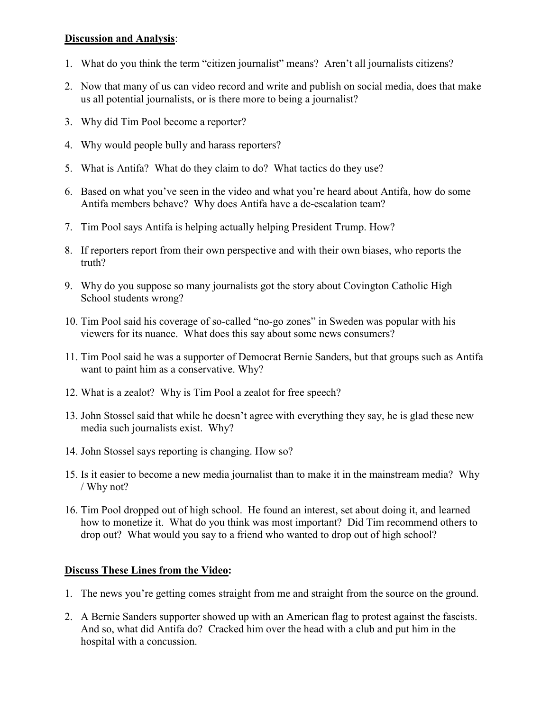## Discussion and Analysis:

- 1. What do you think the term "citizen journalist" means? Aren't all journalists citizens?
- 2. Now that many of us can video record and write and publish on social media, does that make us all potential journalists, or is there more to being a journalist?
- 3. Why did Tim Pool become a reporter?
- 4. Why would people bully and harass reporters?
- 5. What is Antifa? What do they claim to do? What tactics do they use?
- 6. Based on what you've seen in the video and what you're heard about Antifa, how do some Antifa members behave? Why does Antifa have a de-escalation team?
- 7. Tim Pool says Antifa is helping actually helping President Trump. How?
- 8. If reporters report from their own perspective and with their own biases, who reports the truth?
- 9. Why do you suppose so many journalists got the story about Covington Catholic High School students wrong?
- 10. Tim Pool said his coverage of so-called "no-go zones" in Sweden was popular with his viewers for its nuance. What does this say about some news consumers?
- 11. Tim Pool said he was a supporter of Democrat Bernie Sanders, but that groups such as Antifa want to paint him as a conservative. Why?
- 12. What is a zealot? Why is Tim Pool a zealot for free speech?
- 13. John Stossel said that while he doesn't agree with everything they say, he is glad these new media such journalists exist. Why?
- 14. John Stossel says reporting is changing. How so?
- 15. Is it easier to become a new media journalist than to make it in the mainstream media? Why / Why not?
- 16. Tim Pool dropped out of high school. He found an interest, set about doing it, and learned how to monetize it. What do you think was most important? Did Tim recommend others to drop out? What would you say to a friend who wanted to drop out of high school?

# Discuss These Lines from the Video:

- 1. The news you're getting comes straight from me and straight from the source on the ground.
- 2. A Bernie Sanders supporter showed up with an American flag to protest against the fascists. And so, what did Antifa do? Cracked him over the head with a club and put him in the hospital with a concussion.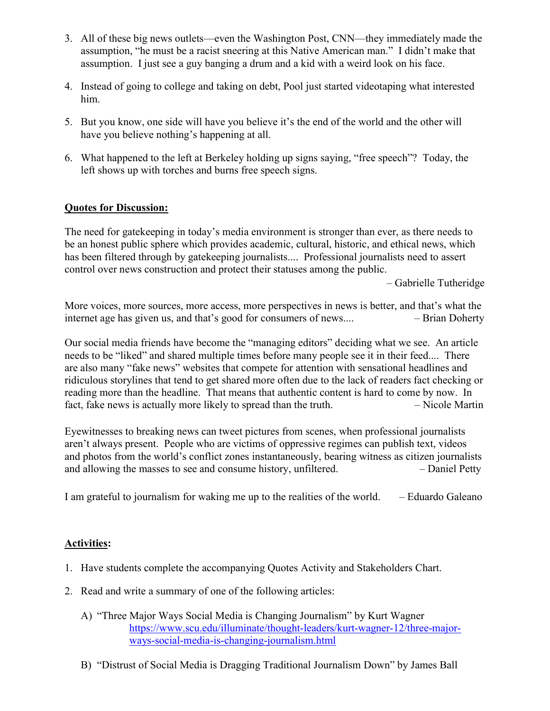- 3. All of these big news outlets—even the Washington Post, CNN—they immediately made the assumption, "he must be a racist sneering at this Native American man." I didn't make that assumption. I just see a guy banging a drum and a kid with a weird look on his face.
- 4. Instead of going to college and taking on debt, Pool just started videotaping what interested him.
- 5. But you know, one side will have you believe it's the end of the world and the other will have you believe nothing's happening at all.
- 6. What happened to the left at Berkeley holding up signs saying, "free speech"? Today, the left shows up with torches and burns free speech signs.

# Quotes for Discussion:

The need for gatekeeping in today's media environment is stronger than ever, as there needs to be an honest public sphere which provides academic, cultural, historic, and ethical news, which has been filtered through by gatekeeping journalists.... Professional journalists need to assert control over news construction and protect their statuses among the public.

– Gabrielle Tutheridge

More voices, more sources, more access, more perspectives in news is better, and that's what the internet age has given us, and that's good for consumers of news.... – – Brian Doherty

Our social media friends have become the "managing editors" deciding what we see. An article needs to be "liked" and shared multiple times before many people see it in their feed.... There are also many "fake news" websites that compete for attention with sensational headlines and ridiculous storylines that tend to get shared more often due to the lack of readers fact checking or reading more than the headline. That means that authentic content is hard to come by now. In fact, fake news is actually more likely to spread than the truth.  $\overline{\phantom{a}}$  – Nicole Martin

Eyewitnesses to breaking news can tweet pictures from scenes, when professional journalists aren't always present. People who are victims of oppressive regimes can publish text, videos and photos from the world's conflict zones instantaneously, bearing witness as citizen journalists and allowing the masses to see and consume history, unfiltered. – Daniel Petty

I am grateful to journalism for waking me up to the realities of the world. – Eduardo Galeano

## Activities:

- 1. Have students complete the accompanying Quotes Activity and Stakeholders Chart.
- 2. Read and write a summary of one of the following articles:
	- A) "Three Major Ways Social Media is Changing Journalism" by Kurt Wagner https://www.scu.edu/illuminate/thought-leaders/kurt-wagner-12/three-majorways-social-media-is-changing-journalism.html
	- B) "Distrust of Social Media is Dragging Traditional Journalism Down" by James Ball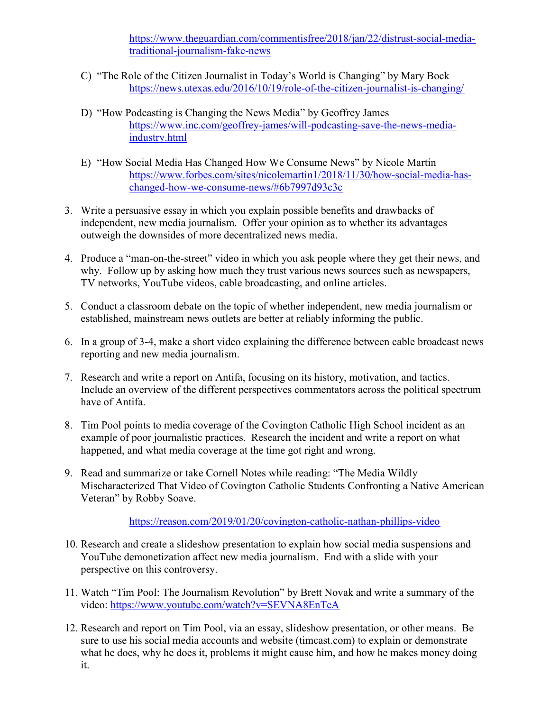https://www.theguardian.com/commentisfree/2018/jan/22/distrust-social-mediatraditional-journalism-fake-news

- C) "The Role of the Citizen Journalist in Today's World is Changing" by Mary Bock https://news.utexas.edu/2016/10/19/role-of-the-citizen-journalist-is-changing/
- D) "How Podcasting is Changing the News Media" by Geoffrey James https://www.inc.com/geoffrey-james/will-podcasting-save-the-news-mediaindustry.html
- E) "How Social Media Has Changed How We Consume News" by Nicole Martin https://www.forbes.com/sites/nicolemartin1/2018/11/30/how-social-media-haschanged-how-we-consume-news/#6b7997d93c3c
- 3. Write a persuasive essay in which you explain possible benefits and drawbacks of independent, new media journalism. Offer your opinion as to whether its advantages outweigh the downsides of more decentralized news media.
- 4. Produce a "man-on-the-street" video in which you ask people where they get their news, and why. Follow up by asking how much they trust various news sources such as newspapers, TV networks, YouTube videos, cable broadcasting, and online articles.
- 5. Conduct a classroom debate on the topic of whether independent, new media journalism or established, mainstream news outlets are better at reliably informing the public.
- 6. In a group of 3-4, make a short video explaining the difference between cable broadcast news reporting and new media journalism.
- 7. Research and write a report on Antifa, focusing on its history, motivation, and tactics. Include an overview of the different perspectives commentators across the political spectrum have of Antifa.
- 8. Tim Pool points to media coverage of the Covington Catholic High School incident as an example of poor journalistic practices. Research the incident and write a report on what happened, and what media coverage at the time got right and wrong.
- 9. Read and summarize or take Cornell Notes while reading: "The Media Wildly Mischaracterized That Video of Covington Catholic Students Confronting a Native American Veteran" by Robby Soave.

https://reason.com/2019/01/20/covington-catholic-nathan-phillips-video

- 10. Research and create a slideshow presentation to explain how social media suspensions and YouTube demonetization affect new media journalism. End with a slide with your perspective on this controversy.
- 11. Watch "Tim Pool: The Journalism Revolution" by Brett Novak and write a summary of the video: https://www.youtube.com/watch?v=SEVNA8EnTeA
- 12. Research and report on Tim Pool, via an essay, slideshow presentation, or other means. Be sure to use his social media accounts and website (timcast.com) to explain or demonstrate what he does, why he does it, problems it might cause him, and how he makes money doing it.